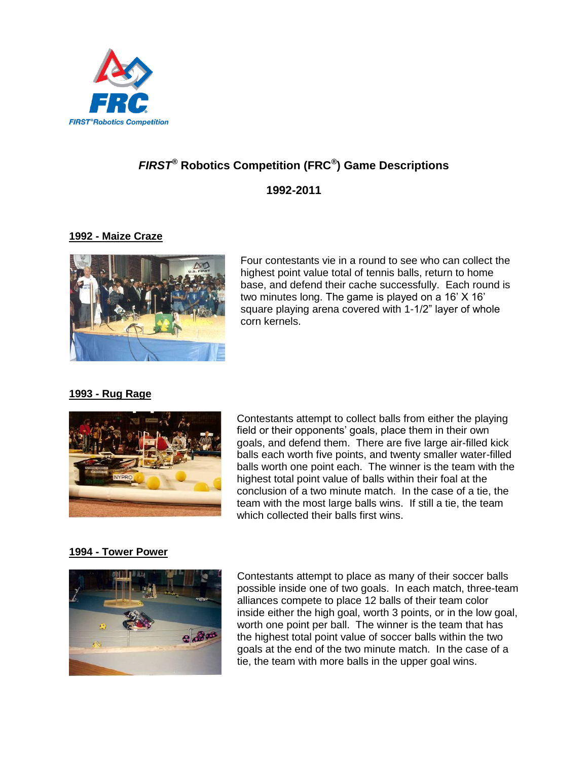

# *FIRST®* **Robotics Competition (FRC***®* **) Game Descriptions 1992-2011**

# **1992 - Maize Craze**



Four contestants vie in a round to see who can collect the highest point value total of tennis balls, return to home base, and defend their cache successfully. Each round is two minutes long. The game is played on a 16" X 16" square playing arena covered with 1-1/2" layer of whole corn kernels.

# **1993 - Rug Rage**



Contestants attempt to collect balls from either the playing field or their opponents' goals, place them in their own goals, and defend them. There are five large air-filled kick balls each worth five points, and twenty smaller water-filled balls worth one point each. The winner is the team with the highest total point value of balls within their foal at the conclusion of a two minute match. In the case of a tie, the team with the most large balls wins. If still a tie, the team which collected their balls first wins.

# **1994 - Tower Power**



Contestants attempt to place as many of their soccer balls possible inside one of two goals. In each match, three-team alliances compete to place 12 balls of their team color inside either the high goal, worth 3 points, or in the low goal, worth one point per ball. The winner is the team that has the highest total point value of soccer balls within the two goals at the end of the two minute match. In the case of a tie, the team with more balls in the upper goal wins.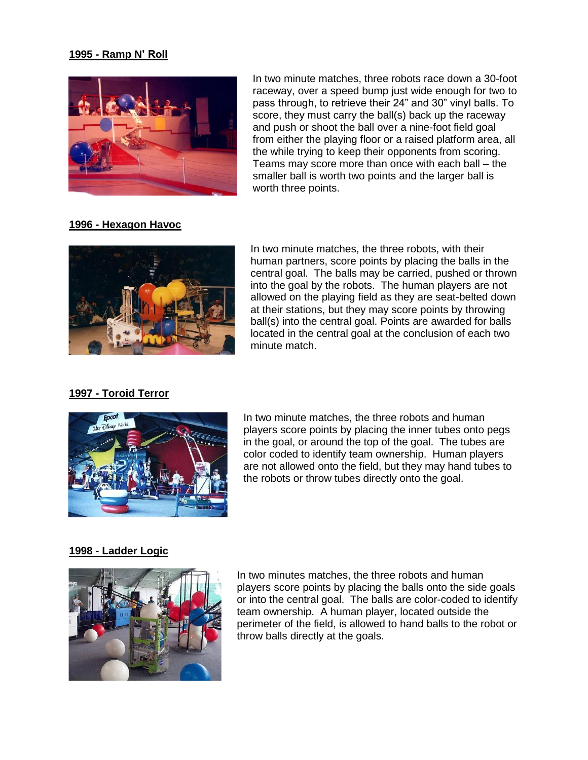#### **1995 - Ramp N' Roll**



In two minute matches, three robots race down a 30-foot raceway, over a speed bump just wide enough for two to pass through, to retrieve their 24" and 30" vinyl balls. To score, they must carry the ball(s) back up the raceway and push or shoot the ball over a nine-foot field goal from either the playing floor or a raised platform area, all the while trying to keep their opponents from scoring. Teams may score more than once with each ball – the smaller ball is worth two points and the larger ball is worth three points.

# **1996 - Hexagon Havoc**



In two minute matches, the three robots, with their human partners, score points by placing the balls in the central goal. The balls may be carried, pushed or thrown into the goal by the robots. The human players are not allowed on the playing field as they are seat-belted down at their stations, but they may score points by throwing ball(s) into the central goal. Points are awarded for balls located in the central goal at the conclusion of each two minute match.

## **1997 - Toroid Terror**



In two minute matches, the three robots and human players score points by placing the inner tubes onto pegs in the goal, or around the top of the goal. The tubes are color coded to identify team ownership. Human players are not allowed onto the field, but they may hand tubes to the robots or throw tubes directly onto the goal.

#### **1998 - Ladder Logic**



In two minutes matches, the three robots and human players score points by placing the balls onto the side goals or into the central goal. The balls are color-coded to identify team ownership. A human player, located outside the perimeter of the field, is allowed to hand balls to the robot or throw balls directly at the goals.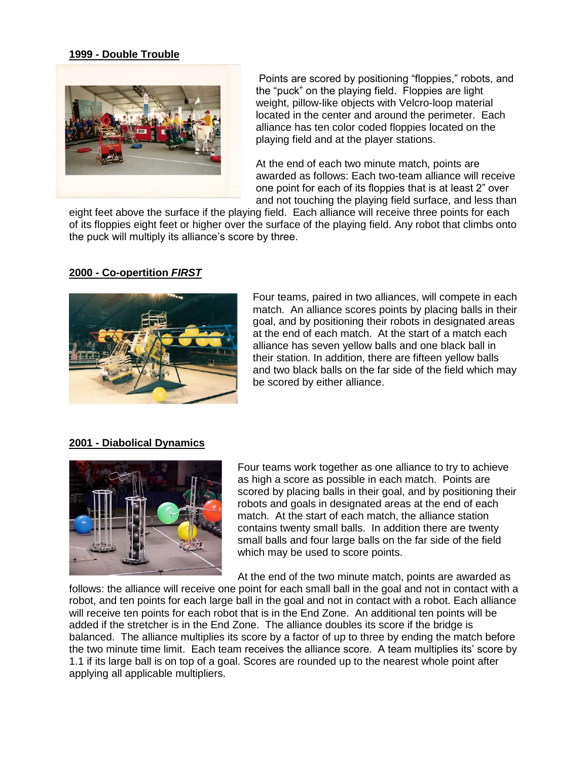#### **1999 - Double Trouble**



Points are scored by positioning "floppies," robots, and the "puck" on the playing field. Floppies are light weight, pillow-like objects with Velcro-loop material located in the center and around the perimeter. Each alliance has ten color coded floppies located on the playing field and at the player stations.

At the end of each two minute match, points are awarded as follows: Each two-team alliance will receive one point for each of its floppies that is at least 2" over and not touching the playing field surface, and less than

eight feet above the surface if the playing field. Each alliance will receive three points for each of its floppies eight feet or higher over the surface of the playing field. Any robot that climbs onto the puck will multiply its alliance"s score by three.

#### **2000 - Co-opertition** *FIRST*



Four teams, paired in two alliances, will compete in each match. An alliance scores points by placing balls in their goal, and by positioning their robots in designated areas at the end of each match. At the start of a match each alliance has seven yellow balls and one black ball in their station. In addition, there are fifteen yellow balls and two black balls on the far side of the field which may be scored by either alliance.

#### **2001 - Diabolical Dynamics**



Four teams work together as one alliance to try to achieve as high a score as possible in each match. Points are scored by placing balls in their goal, and by positioning their robots and goals in designated areas at the end of each match. At the start of each match, the alliance station contains twenty small balls. In addition there are twenty small balls and four large balls on the far side of the field which may be used to score points.

At the end of the two minute match, points are awarded as

follows: the alliance will receive one point for each small ball in the goal and not in contact with a robot, and ten points for each large ball in the goal and not in contact with a robot. Each alliance will receive ten points for each robot that is in the End Zone. An additional ten points will be added if the stretcher is in the End Zone. The alliance doubles its score if the bridge is balanced. The alliance multiplies its score by a factor of up to three by ending the match before the two minute time limit. Each team receives the alliance score. A team multiplies its' score by 1.1 if its large ball is on top of a goal. Scores are rounded up to the nearest whole point after applying all applicable multipliers.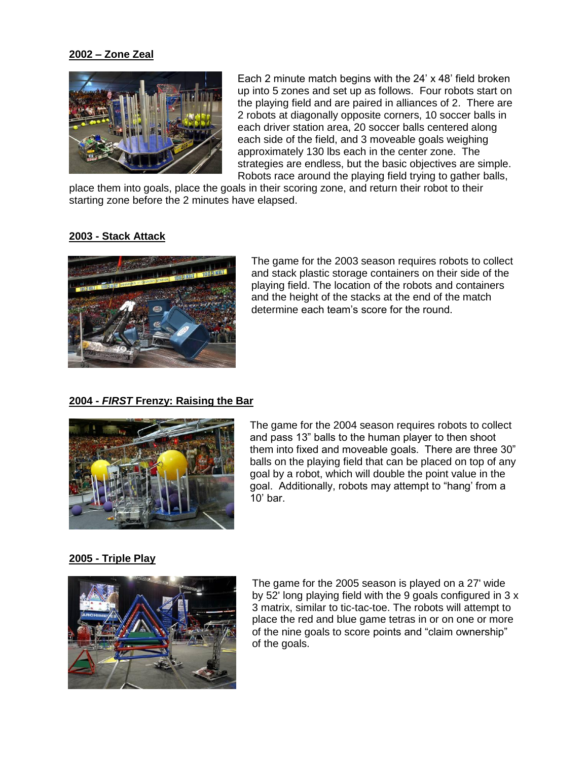#### **2002 – Zone Zeal**



Each 2 minute match begins with the 24" x 48" field broken up into 5 zones and set up as follows. Four robots start on the playing field and are paired in alliances of 2. There are 2 robots at diagonally opposite corners, 10 soccer balls in each driver station area, 20 soccer balls centered along each side of the field, and 3 moveable goals weighing approximately 130 lbs each in the center zone. The strategies are endless, but the basic objectives are simple. Robots race around the playing field trying to gather balls,

place them into goals, place the goals in their scoring zone, and return their robot to their starting zone before the 2 minutes have elapsed.

#### **2003 - Stack Attack**



The game for the 2003 season requires robots to collect and stack plastic storage containers on their side of the playing field. The location of the robots and containers and the height of the stacks at the end of the match determine each team"s score for the round.

# **2004 -** *FIRST* **Frenzy: Raising the Bar**



The game for the 2004 season requires robots to collect and pass 13" balls to the human player to then shoot them into fixed and moveable goals. There are three 30" balls on the playing field that can be placed on top of any goal by a robot, which will double the point value in the goal. Additionally, robots may attempt to "hang" from a  $10'$  bar

#### **2005 - Triple Play**



The game for the 2005 season is played on a 27' wide by 52' long playing field with the 9 goals configured in 3 x 3 matrix, similar to tic-tac-toe. The robots will attempt to place the red and blue game tetras in or on one or more of the nine goals to score points and "claim ownership" of the goals.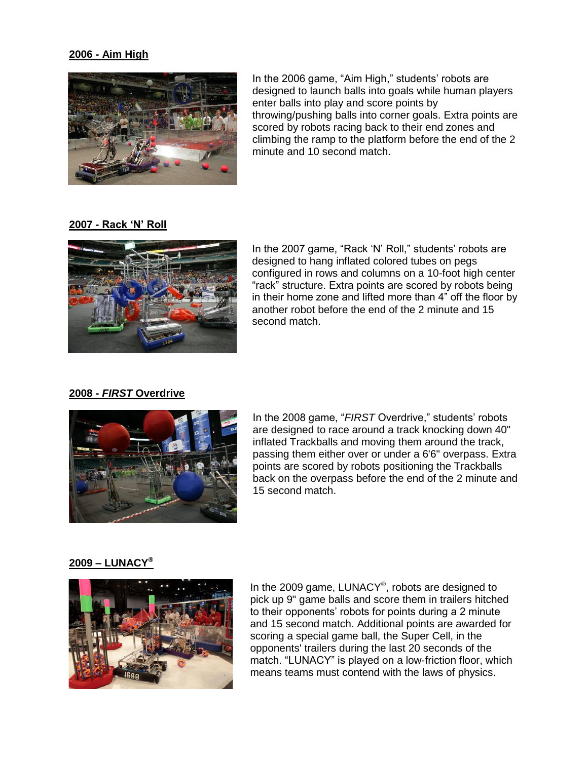#### **2006 - Aim High**



In the 2006 game, "Aim High," students' robots are designed to launch balls into goals while human players enter balls into play and score points by throwing/pushing balls into corner goals. Extra points are scored by robots racing back to their end zones and climbing the ramp to the platform before the end of the 2 minute and 10 second match.

#### **2007 - Rack 'N' Roll**



In the 2007 game, "Rack 'N' Roll," students' robots are designed to hang inflated colored tubes on pegs configured in rows and columns on a 10-foot high center "rack" structure. Extra points are scored by robots being in their home zone and lifted more than 4" off the floor by another robot before the end of the 2 minute and 15 second match.

## **2008 -** *FIRST* **Overdrive**



In the 2008 game, "FIRST Overdrive," students' robots are designed to race around a track knocking down 40" inflated Trackballs and moving them around the track, passing them either over or under a 6'6" overpass. Extra points are scored by robots positioning the Trackballs back on the overpass before the end of the 2 minute and 15 second match.

#### **2009 – LUNACY®**



In the 2009 game, LUNACY®, robots are designed to pick up 9" game balls and score them in trailers hitched to their opponents' robots for points during a 2 minute and 15 second match. Additional points are awarded for scoring a special game ball, the Super Cell, in the opponents' trailers during the last 20 seconds of the match. "LUNACY" is played on a low-friction floor, which means teams must contend with the laws of physics.